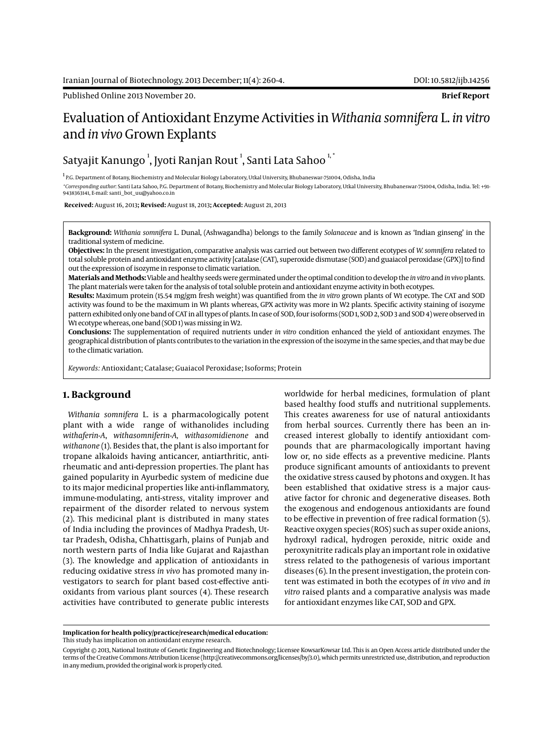Published Online 2013 November 20. **Brief Report**

# Evaluation of Antioxidant Enzyme Activities in *Withania somnifera* L. *in vitro* and *in vivo* Grown Explants

## Satyajit Kanungo  $^{\rm l}$ , Jyoti Ranjan Rout  $^{\rm l}$ , Santi Lata Sahoo  $^{\rm l, *}$

<sup>1</sup> P.G. Department of Botany, Biochemistry and Molecular Biology Laboratory, Utkal University, Bhubaneswar-751004, Odisha, India *\*Corresponding author*: Santi Lata Sahoo, P.G. Department of Botany, Biochemistry and Molecular Biology Laboratory, Utkal University, Bhubaneswar-751004, Odisha, India. Tel: +91- 9438363141, E-mail: santi\_bot\_uu@yahoo.co.in

 **Received:** August 16, 2013**; Revised:** August 18, 2013**; Accepted:** August 21, 2013

**Background:** *Withania somnifera* L. Dunal, (Ashwagandha) belongs to the family *Solanaceae* and is known as 'Indian ginseng' in the traditional system of medicine.

**Objectives:** In the present investigation, comparative analysis was carried out between two different ecotypes of *W. somnifera* related to total soluble protein and antioxidant enzyme activity [catalase (CAT), superoxide dismutase (SOD) and guaiacol peroxidase (GPX)] to find out the expression of isozyme in response to climatic variation.

**Materials and Methods:** Viable and healthy seeds were germinated under the optimal condition to develop the *in vitro* and *in vivo* plants. The plant materials were taken for the analysis of total soluble protein and antioxidant enzyme activity in both ecotypes.

**Results:** Maximum protein (15.54 mg/gm fresh weight) was quantified from the *in vitro* grown plants of W1 ecotype. The CAT and SOD activity was found to be the maximum in W1 plants whereas, GPX activity was more in W2 plants. Specific activity staining of isozyme pattern exhibited only one band of CAT in all types of plants. In case of SOD, four isoforms (SOD 1, SOD 2, SOD 3 and SOD 4) were observed in W1 ecotype whereas, one band (SOD 1) was missing in W2.

**Conclusions:** The supplementation of required nutrients under *in vitro* condition enhanced the yield of antioxidant enzymes. The geographical distribution of plants contributes to the variation in the expression of the isozyme in the same species, and that may be due to the climatic variation.

*Keywords:* Antioxidant; Catalase; Guaiacol Peroxidase; Isoforms; Protein

### **1. Background**

*Withania somnifera* L. is a pharmacologically potent plant with a wide range of withanolides including *withaferin-A*, *withasomniferin-A, withasomidienone* and *withanone* (1). Besides that, the plant is also important for tropane alkaloids having anticancer, antiarthritic, antirheumatic and anti-depression properties. The plant has gained popularity in Ayurbedic system of medicine due to its major medicinal properties like anti-inflammatory, immune-modulating, anti-stress, vitality improver and repairment of the disorder related to nervous system (2). This medicinal plant is distributed in many states of India including the provinces of Madhya Pradesh, Uttar Pradesh, Odisha, Chhattisgarh, plains of Punjab and north western parts of India like Gujarat and Rajasthan (3). The knowledge and application of antioxidants in reducing oxidative stress *in vivo* has promoted many investigators to search for plant based cost-effective antioxidants from various plant sources (4). These research activities have contributed to generate public interests worldwide for herbal medicines, formulation of plant based healthy food stuffs and nutritional supplements. This creates awareness for use of natural antioxidants from herbal sources. Currently there has been an increased interest globally to identify antioxidant compounds that are pharmacologically important having low or, no side effects as a preventive medicine. Plants produce significant amounts of antioxidants to prevent the oxidative stress caused by photons and oxygen. It has been established that oxidative stress is a major causative factor for chronic and degenerative diseases. Both the exogenous and endogenous antioxidants are found to be effective in prevention of free radical formation (5). Reactive oxygen species (ROS) such as super oxide anions, hydroxyl radical, hydrogen peroxide, nitric oxide and peroxynitrite radicals play an important role in oxidative stress related to the pathogenesis of various important diseases (6). In the present investigation, the protein content was estimated in both the ecotypes of *in vivo* and *in vitro* raised plants and a comparative analysis was made for antioxidant enzymes like CAT, SOD and GPX.

**Implication for health policy/practice/research/medical education:** This study has implication on antioxidant enzyme research.

Copyright © 2013, National Institute of Genetic Engineering and Biotechnology; Licensee KowsarKowsar Ltd. This is an Open Access article distributed under the terms of the Creative Commons Attribution License (http://creativecommons.org/licenses/by/3.0), which permits unrestricted use, distribution, and reproduction in any medium, provided the original work is properly cited.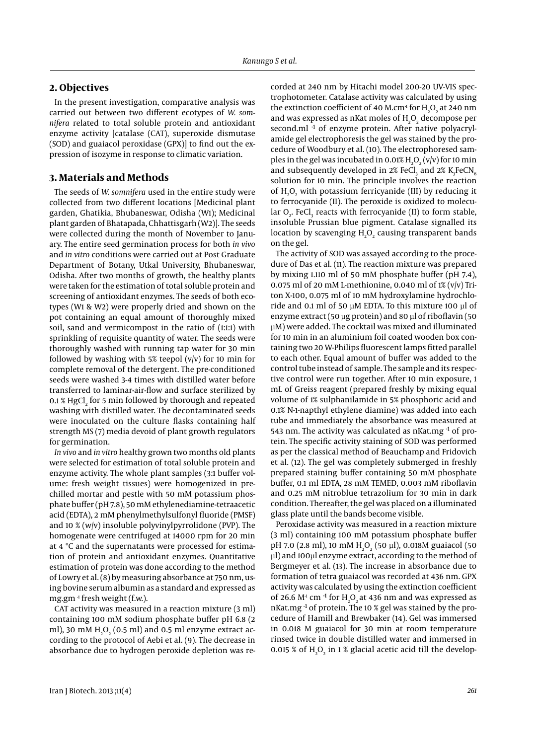#### **2. Objectives**

In the present investigation, comparative analysis was carried out between two different ecotypes of *W. somnifera* related to total soluble protein and antioxidant enzyme activity [catalase (CAT), superoxide dismutase (SOD) and guaiacol peroxidase (GPX)] to find out the expression of isozyme in response to climatic variation.

#### **3. Materials and Methods**

The seeds of *W. somnifera* used in the entire study were collected from two different locations [Medicinal plant garden, Ghatikia, Bhubaneswar, Odisha (W1); Medicinal plant garden of Bhatapada, Chhattisgarh (W2)]. The seeds were collected during the month of November to January. The entire seed germination process for both *in vivo*  and *in vitro* conditions were carried out at Post Graduate Department of Botany, Utkal University, Bhubaneswar, Odisha. After two months of growth, the healthy plants were taken for the estimation of total soluble protein and screening of antioxidant enzymes. The seeds of both ecotypes (W1 & W2) were properly dried and shown on the pot containing an equal amount of thoroughly mixed soil, sand and vermicompost in the ratio of (1:1:1) with sprinkling of requisite quantity of water. The seeds were thoroughly washed with running tap water for 30 min followed by washing with 5% teepol  $(v/v)$  for 10 min for complete removal of the detergent. The pre-conditioned seeds were washed 3-4 times with distilled water before transferred to laminar-air-flow and surface sterilized by 0.1 % HgCl $_2$  for 5 min followed by thorough and repeated washing with distilled water. The decontaminated seeds were inoculated on the culture flasks containing half strength MS (7) media devoid of plant growth regulators for germination.

*In vivo* and *in vitro* healthy grown two months old plants were selected for estimation of total soluble protein and enzyme activity. The whole plant samples (3:1 buffer volume: fresh weight tissues) were homogenized in prechilled mortar and pestle with 50 mM potassium phosphate buffer (pH 7.8), 50 mM ethylenediamine-tetraacetic acid (EDTA), 2 mM phenylmethylsulfonyl fluoride (PMSF) and 10 % (w/v) insoluble polyvinylpyrrolidone (PVP). The homogenate were centrifuged at 14000 rpm for 20 min at 4 ºC and the supernatants were processed for estimation of protein and antioxidant enzymes. Quantitative estimation of protein was done according to the method of Lowry et al. (8) by measuring absorbance at 750 nm, using bovine serum albumin as a standard and expressed as mg.gm $^{-1}$  fresh weight (f.w.).

CAT activity was measured in a reaction mixture (3 ml) containing 100 mM sodium phosphate buffer pH 6.8 (2 ml), 30 mM  $\rm H_2O_2$  (0.5 ml) and 0.5 ml enzyme extract according to the protocol of Aebi et al. (9). The decrease in absorbance due to hydrogen peroxide depletion was recorded at 240 nm by Hitachi model 200-20 UV-VIS spectrophotometer. Catalase activity was calculated by using the extinction coefficient of 40 M.cm<sup>1</sup> for  $\rm H_2O_2$  at 240 nm and was expressed as nKat moles of  $H_2O_2$  decompose per second.ml<sup>-1</sup> of enzyme protein. After native polyacrylamide gel electrophoresis the gel was stained by the procedure of Woodbury et al. (10). The electrophoresed samples in the gel was incubated in 0.01%  $\text{H}_{2}\text{O}_{2}$  (v/v) for 10 min and subsequently developed in 2% FeCl<sub>3</sub> and 2%  $\text{K}_{3}\text{FeCN}_{6}$ solution for 10 min. The principle involves the reaction of  $H_2O_2$  with potassium ferricyanide (III) by reducing it to ferrocyanide (II). The peroxide is oxidized to molecular  $O_2$ . FeCl<sub>3</sub> reacts with ferrocyanide (II) to form stable, insoluble Prussian blue pigment. Catalase signalled its location by scavenging  $H_2O_2$  causing transparent bands on the gel.

The activity of SOD was assayed according to the procedure of Das et al. (11). The reaction mixture was prepared by mixing 1.110 ml of 50 mM phosphate buffer (pH 7.4), 0.075 ml of 20 mM L-methionine, 0.040 ml of  $1\%$  (v/v) Triton X-100, 0.075 ml of 10 mM hydroxylamine hydrochloride and 0.1 ml of 50 µM EDTA. To this mixture 100 µl of enzyme extract (50 µg protein) and 80 µl of riboflavin (50 µM) were added. The cocktail was mixed and illuminated for 10 min in an aluminium foil coated wooden box containing two 20 W-Philips fluorescent lamps fitted parallel to each other. Equal amount of buffer was added to the control tube instead of sample. The sample and its respective control were run together. After 10 min exposure, 1 mL of Greiss reagent (prepared freshly by mixing equal volume of 1% sulphanilamide in 5% phosphoric acid and 0.1% N-1-napthyl ethylene diamine) was added into each tube and immediately the absorbance was measured at 543 nm. The activity was calculated as  $n$ Kat.mg $^{-1}$  of protein. The specific activity staining of SOD was performed as per the classical method of Beauchamp and Fridovich et al. (12). The gel was completely submerged in freshly prepared staining buffer containing 50 mM phosphate buffer, 0.1 ml EDTA, 28 mM TEMED, 0.003 mM riboflavin and 0.25 mM nitroblue tetrazolium for 30 min in dark condition. Thereafter, the gel was placed on a illuminated glass plate until the bands become visible.

Peroxidase activity was measured in a reaction mixture (3 ml) containing 100 mM potassium phosphate buffer pH 7.0 (2.8 ml), 10 mM  $H_2O_2$  (50  $\mu$ l), 0.018M guaiacol (50 µl) and 100µl enzyme extract, according to the method of Bergmeyer et al. (13). The increase in absorbance due to formation of tetra guaiacol was recorded at 436 nm. GPX activity was calculated by using the extinction coefficient of 26.6  $M<sup>1</sup>$  cm <sup>-1</sup> for H<sub>2</sub>O<sub>2</sub> at 436 nm and was expressed as nKat.mg -1 of protein. The 10 % gel was stained by the procedure of Hamill and Brewbaker (14). Gel was immersed in 0.018 M guaiacol for 30 min at room temperature rinsed twice in double distilled water and immersed in 0.015 % of  $H_2O_2$  in 1 % glacial acetic acid till the develop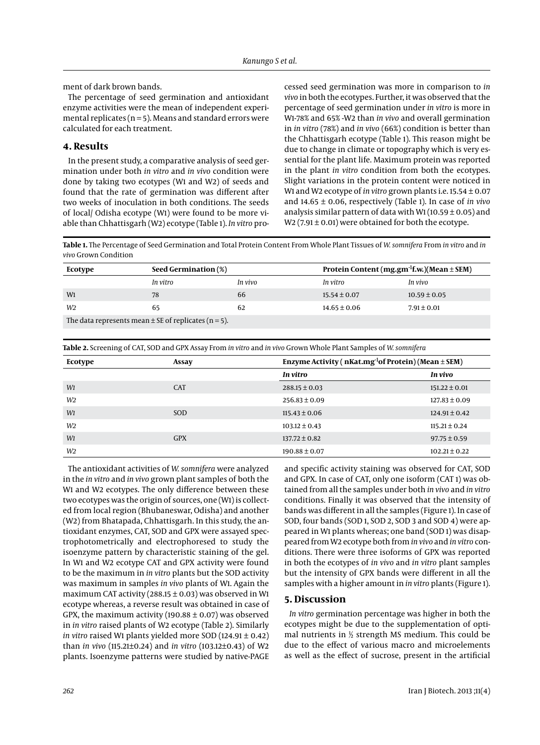ment of dark brown bands.

The percentage of seed germination and antioxidant enzyme activities were the mean of independent experimental replicates ( $n = 5$ ). Means and standard errors were calculated for each treatment.

### **4. Results**

In the present study, a comparative analysis of seed germination under both *in vitro* and *in vivo* condition were done by taking two ecotypes (W1 and W2) of seeds and found that the rate of germination was different after two weeks of inoculation in both conditions. The seeds of local/ Odisha ecotype (W1) were found to be more viable than Chhattisgarh (W2) ecotype (Table 1). *In vitro* processed seed germination was more in comparison to *in vivo* in both the ecotypes. Further, it was observed that the percentage of seed germination under *in vitro* is more in W1-78% and 65% -W2 than *in vivo* and overall germination in *in vitro* (78%) and *in vivo* (66%) condition is better than the Chhattisgarh ecotype (Table 1). This reason might be due to change in climate or topography which is very essential for the plant life. Maximum protein was reported in the plant *in vitro* condition from both the ecotypes. Slight variations in the protein content were noticed in W1 and W2 ecotype of *in vitro* grown plants i.e. 15.54 ± 0.07 and 14.65 ± 0.06, respectively (Table 1). In case of *in vivo*  analysis similar pattern of data with W1 (10.59  $\pm$  0.05) and W<sub>2</sub> (7.91  $\pm$  0.01) were obtained for both the ecotype.

**Table 1.** The Percentage of Seed Germination and Total Protein Content From Whole Plant Tissues of *W. somnifera* From *in vitro* and *in vivo* Grown Condition

| Ecotype                                                  | Seed Germination (%) |         | Protein Content (mg.gm <sup>-1</sup> f.w.)(Mean $\pm$ SEM) |                  |  |
|----------------------------------------------------------|----------------------|---------|------------------------------------------------------------|------------------|--|
|                                                          | In vitro             | In vivo | In vitro                                                   | In vivo          |  |
| W <sub>1</sub>                                           | 78                   | 66      | $15.54 \pm 0.07$                                           | $10.59 \pm 0.05$ |  |
| W2                                                       | 65                   | 62      | $14.65 \pm 0.06$                                           | $7.91 \pm 0.01$  |  |
| The data represents mean $\pm$ SE of replicates (n = 5). |                      |         |                                                            |                  |  |

**Table 2.** Screening of CAT, SOD and GPX Assay From *in vitro* and *in vivo* Grown Whole Plant Samples of *W. somnifera*

| Ecotype        | Assay      | Enzyme Activity ( $n$ Kat.mg <sup>-1</sup> of Protein) (Mean $\pm$ SEM) |                   |
|----------------|------------|-------------------------------------------------------------------------|-------------------|
|                |            | In vitro                                                                | In vivo           |
| W1             | <b>CAT</b> | $288.15 \pm 0.03$                                                       | $151.22 \pm 0.01$ |
| W <sub>2</sub> |            | $256.83 \pm 0.09$                                                       | $127.83 \pm 0.09$ |
| W1             | SOD        | $115.43 \pm 0.06$                                                       | $124.91 \pm 0.42$ |
| W <sub>2</sub> |            | $103.12 \pm 0.43$                                                       | $115.21 \pm 0.24$ |
| W1             | <b>GPX</b> | $137.72 \pm 0.82$                                                       | $97.75 \pm 0.59$  |
| W <sub>2</sub> |            | $190.88 \pm 0.07$                                                       | $102.21 \pm 0.22$ |

The antioxidant activities of *W. somnifera* were analyzed in the *in vitro* and *in vivo* grown plant samples of both the W1 and W2 ecotypes. The only difference between these two ecotypes was the origin of sources, one (W1) is collected from local region (Bhubaneswar, Odisha) and another (W2) from Bhatapada, Chhattisgarh. In this study, the antioxidant enzymes, CAT, SOD and GPX were assayed spectrophotometrically and electrophoresed to study the isoenzyme pattern by characteristic staining of the gel. In W1 and W2 ecotype CAT and GPX activity were found to be the maximum in *in vitro* plants but the SOD activity was maximum in samples *in vivo* plants of W1. Again the maximum CAT activity (288.15  $\pm$  0.03) was observed in W1 ecotype whereas, a reverse result was obtained in case of GPX, the maximum activity (190.88  $\pm$  0.07) was observed in *in vitro* raised plants of W2 ecotype (Table 2). Similarly *in vitro* raised W1 plants yielded more SOD (124.91 ± 0.42) than *in vivo* (115.21±0.24) and *in vitro* (103.12±0.43) of W2 plants. Isoenzyme patterns were studied by native-PAGE and specific activity staining was observed for CAT, SOD and GPX. In case of CAT, only one isoform (CAT 1) was obtained from all the samples under both *in vivo* and *in vitro* conditions. Finally it was observed that the intensity of bands was different in all the samples (Figure 1). In case of SOD, four bands (SOD 1, SOD 2, SOD 3 and SOD 4) were appeared in W1 plants whereas; one band (SOD 1) was disappeared from W2 ecotype both from *in vivo* and *in vitro* conditions. There were three isoforms of GPX was reported in both the ecotypes of *in vivo* and *in vitro* plant samples but the intensity of GPX bands were different in all the samples with a higher amount in *in vitro* plants (Figure 1).

#### **5. Discussion**

*In vitro* germination percentage was higher in both the ecotypes might be due to the supplementation of optimal nutrients in  $\frac{1}{2}$  strength MS medium. This could be due to the effect of various macro and microelements as well as the effect of sucrose, present in the artificial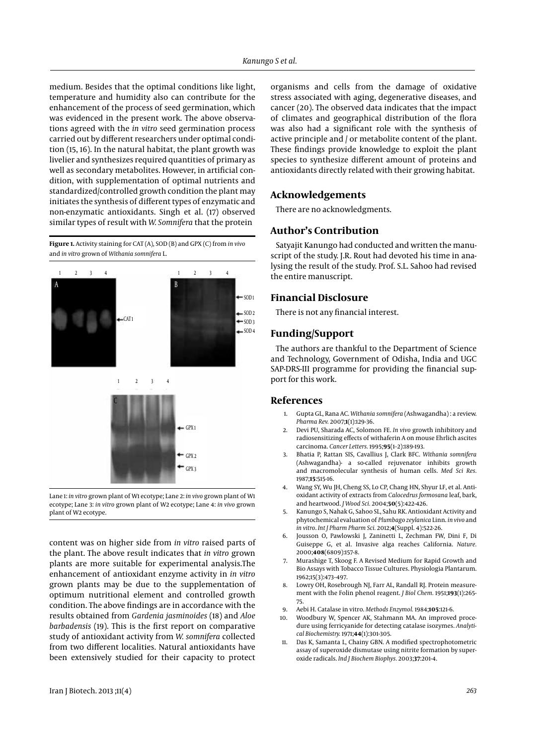medium. Besides that the optimal conditions like light, temperature and humidity also can contribute for the enhancement of the process of seed germination, which was evidenced in the present work. The above observations agreed with the *in vitro* seed germination process carried out by different researchers under optimal condition (15, 16). In the natural habitat, the plant growth was livelier and synthesizes required quantities of primary as well as secondary metabolites. However, in artificial condition, with supplementation of optimal nutrients and standardized/controlled growth condition the plant may initiates the synthesis of different types of enzymatic and non-enzymatic antioxidants. Singh et al. (17) observed similar types of result with *W. Somnifera* that the protein

**Figure 1.** Activity staining for CAT (A), SOD (B) and GPX (C) from *in vivo*  and *in vitro* grown of *Withania somnifera* L.



Lane 1: *in vitro* grown plant of W1 ecotype; Lane 2: *in vivo* grown plant of W1 ecotype; Lane 3: *in vitro* grown plant of W2 ecotype; Lane 4: *in vivo* grown plant of W2 ecotype.

content was on higher side from *in vitro* raised parts of the plant. The above result indicates that *in vitro* grown plants are more suitable for experimental analysis.The enhancement of antioxidant enzyme activity in *in vitro*  grown plants may be due to the supplementation of optimum nutritional element and controlled growth condition. The above findings are in accordance with the results obtained from *Gardenia jasminoides* (18) and *Aloe barbadensis* (19). This is the first report on comparative study of antioxidant activity from *W. somnifera* collected from two different localities. Natural antioxidants have been extensively studied for their capacity to protect

organisms and cells from the damage of oxidative stress associated with aging, degenerative diseases, and cancer (20). The observed data indicates that the impact of climates and geographical distribution of the flora was also had a significant role with the synthesis of active principle and / or metabolite content of the plant. These findings provide knowledge to exploit the plant species to synthesize different amount of proteins and antioxidants directly related with their growing habitat.

#### **Acknowledgements**

There are no acknowledgments.

#### **Author's Contribution**

Satyajit Kanungo had conducted and written the manuscript of the study. J.R. Rout had devoted his time in analysing the result of the study. Prof. S.L. Sahoo had revised the entire manuscript.

#### **Financial Disclosure**

There is not any financial interest.

#### **Funding/Support**

The authors are thankful to the Department of Science and Technology, Government of Odisha, India and UGC SAP-DRS-III programme for providing the financial support for this work.

#### **References**

- 1. Gupta GL, Rana AC. *Withania somnifera* (Ashwagandha) : a review. *Pharma Rev.* 2007;**1**(1):129-36.
- 2. Devi PU, Sharada AC, Solomon FE. *In vivo* growth inhibitory and radiosensitizing effects of withaferin A on mouse Ehrlich ascites carcinoma. *Cancer Letters.* 1995;**95**(1–2):189-193.
- 3. Bhatia P, Rattan SIS, Cavallius J, Clark BFC. *Withania somnifera*  (Ashwagandha)- a so-called rejuvenator inhibits growth and macromolecular synthesis of human cells. *Med Sci Res.* 1987;**15**:515-16.
- 4. Wang SY, Wu JH, Cheng SS, Lo CP, Chang HN, Shyur LF, et al. Antioxidant activity of extracts from *Calocedrus formosana* leaf, bark, and heartwood. *J Wood Sci.* 2004;**50**(5):422-426.
- 5. Kanungo S, Nahak G, Sahoo SL, Sahu RK. Antioxidant Activity and phytochemical evaluation of *Plumbago zeylanica* Linn. *in vivo* and *in vitro*. *Int J Pharm Pharm Sci.* 2012;**4**(Suppl. 4):522-26.
- 6. Jousson O, Pawlowski J, Zaninetti L, Zechman FW, Dini F, Di Guiseppe G, et al. Invasive alga reaches California. *Nature.* 2000;**408**(6809):157-8.
- 7. Murashige T, Skoog F. A Revised Medium for Rapid Growth and Bio Assays with Tobacco Tissue Cultures. Physiologia Plantarum. 1962;15(3):473–497.
- 8. Lowry OH, Rosebrough NJ, Farr AL, Randall RJ. Protein measurement with the Folin phenol reagent. *J Biol Chem.* 1951;**193**(1):265- 75.
- 9. Aebi H. Catalase in vitro. *Methods Enzymol.* 1984;**105**:121-6.
- 10. Woodbury W, Spencer AK, Stahmann MA. An improved procedure using ferricyanide for detecting catalase isozymes. *Analytical Biochemistry.* 1971;**44**(1):301-305.
- 11. Das K, Samanta L, Chainy GBN. A modified spectrophotometric assay of superoxide dismutase using nitrite formation by superoxide radicals. *Ind J Biochem Biophys.* 2003;**37**:201-4.